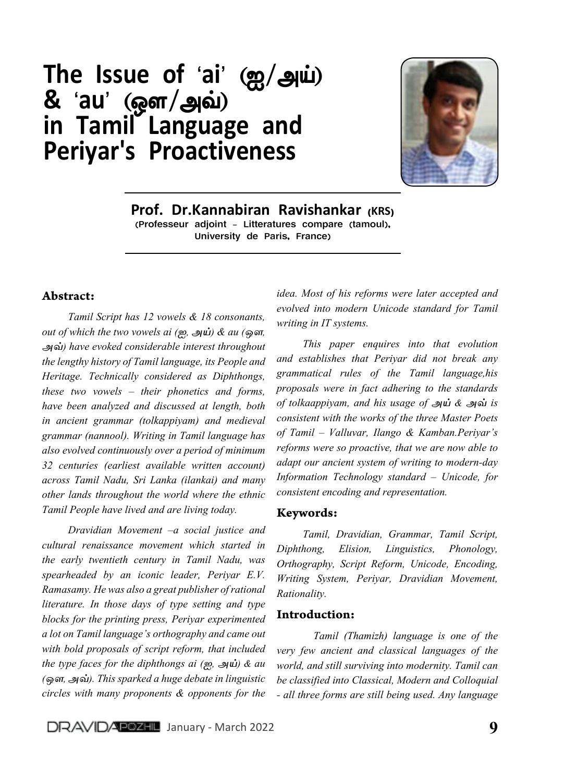# The Issue of 'ai' (ஐ/அய்) & 'au' (ஒள/அவ்) in Tamil Language and Periyar's Proactiveness



Prof. Dr.Kannabiran Ravishankar (KRS) (Professeur adjoint - Litteratures compare (tamoul), University de Paris, France)

## Abstract:

*Tamil Script has 12 vowels & 18 consonants, out of which the two vowels ai (ஐ, அய்) & au (ஒள, அவ்) have evoked considerable interest throughout the lengthy history of Tamil language, its People and Heritage. Technically considered as Diphthongs, these two vowels – their phonetics and forms, have been analyzed and discussed at length, both in ancient grammar (tolkappiyam) and medieval grammar (nannool). Writing in Tamil language has also evolved continuously over a period of minimum 32 centuries (earliest available written account) across Tamil Nadu, Sri Lanka (ilankai) and many other lands throughout the world where the ethnic Tamil People have lived and are living today.*

*Dravidian Movement –a social justice and cultural renaissance movement which started in the early twentieth century in Tamil Nadu, was spearheaded by an iconic leader, Periyar E.V. Ramasamy. He was also a great publisher of rational literature. In those days of type setting and type blocks for the printing press, Periyar experimented a lot on Tamil language's orthography and came out with bold proposals of script reform, that included the type faces for the diphthongs ai (ஐ, அய்) & au (ஒள, அவ்). This sparked a huge debate in linguistic circles with many proponents & opponents for the* 

*idea. Most of his reforms were later accepted and evolved into modern Unicode standard for Tamil writing in IT systems.*

*This paper enquires into that evolution and establishes that Periyar did not break any grammatical rules of the Tamil language,his proposals were in fact adhering to the standards of tolkaappiyam, and his usage of அய் & அவ் is consistent with the works of the three Master Poets of Tamil – Valluvar, Ilango & Kamban.Periyar's reforms were so proactive, that we are now able to adapt our ancient system of writing to modern-day Information Technology standard – Unicode, for consistent encoding and representation.*

#### Keywords:

*Tamil, Dravidian, Grammar, Tamil Script, Diphthong, Elision, Linguistics, Phonology, Orthography, Script Reform, Unicode, Encoding, Writing System, Periyar, Dravidian Movement, Rationality.*

#### Introduction:

*Tamil (Thamizh) language is one of the very few ancient and classical languages of the world, and still surviving into modernity. Tamil can be classified into Classical, Modern and Colloquial - all three forms are still being used. Any language*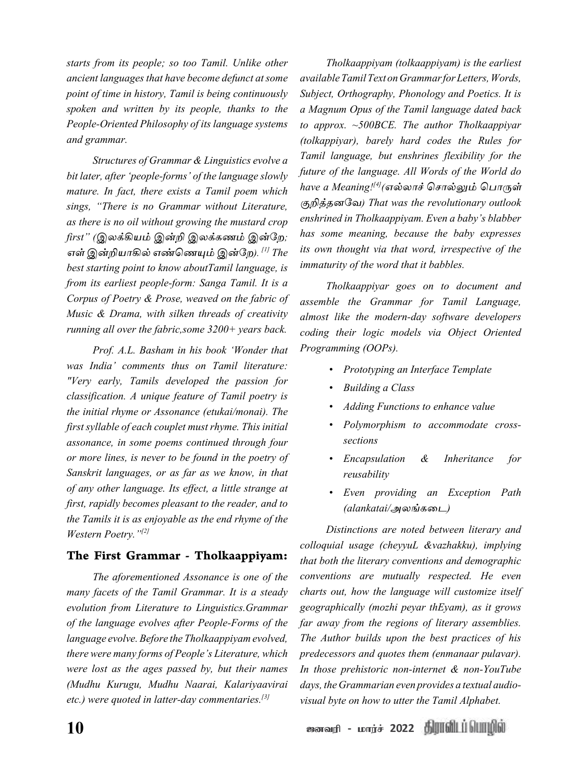*starts from its people; so too Tamil. Unlike other ancient languages that have become defunct at some point of time in history, Tamil is being continuously spoken and written by its people, thanks to the People-Oriented Philosophy of its language systems and grammar.*

*Structures of Grammar & Linguistics evolve a bit later, after 'people-forms' of the language slowly mature. In fact, there exists a Tamil poem which sings, "There is no Grammar without Literature, as there is no oil without growing the mustard crop first" (இலக்கியம் இன்றி இலக்கணம் இன்றே; எள் இன்றியாகில் எண்ணெயும் இன்றே). [1] The best starting point to know aboutTamil language, is from its earliest people-form: Sanga Tamil. It is a Corpus of Poetry & Prose, weaved on the fabric of Music & Drama, with silken threads of creativity running all over the fabric,some 3200+ years back.*

*Prof. A.L. Basham in his book 'Wonder that was India' comments thus on Tamil literature: "Very early, Tamils developed the passion for classification. A unique feature of Tamil poetry is the initial rhyme or Assonance (etukai/monai). The first syllable of each couplet must rhyme. This initial assonance, in some poems continued through four or more lines, is never to be found in the poetry of Sanskrit languages, or as far as we know, in that of any other language. Its effect, a little strange at first, rapidly becomes pleasant to the reader, and to the Tamils it is as enjoyable as the end rhyme of the Western Poetry."[2]*

#### The First Grammar - Tholkaappiyam:

*The aforementioned Assonance is one of the many facets of the Tamil Grammar. It is a steady evolution from Literature to Linguistics.Grammar of the language evolves after People-Forms of the language evolve. Before the Tholkaappiyam evolved, there were many forms of People's Literature, which were lost as the ages passed by, but their names (Mudhu Kurugu, Mudhu Naarai, Kalariyaavirai etc.) were quoted in latter-day commentaries.[3]*

*Tholkaappiyam (tolkaappiyam) is the earliest available Tamil Text on Grammar for Letters, Words, Subject, Orthography, Phonology and Poetics. It is a Magnum Opus of the Tamil language dated back to approx. ~500BCE. The author Tholkaappiyar (tolkappiyar), barely hard codes the Rules for Tamil language, but enshrines flexibility for the future of the language. All Words of the World do have a Meaning![4](எல்லாச் ச�ொல்லும் ப�ொருள் குறித்தனவே) That was the revolutionary outlook enshrined in Tholkaappiyam. Even a baby's blabber has some meaning, because the baby expresses its own thought via that word, irrespective of the immaturity of the word that it babbles.* 

*Tholkaappiyar goes on to document and assemble the Grammar for Tamil Language, almost like the modern-day software developers coding their logic models via Object Oriented Programming (OOPs).*

- *• Prototyping an Interface Template*
- *• Building a Class*
- *• Adding Functions to enhance value*
- *• Polymorphism to accommodate crosssections*
- *• Encapsulation & Inheritance for reusability*
- *• Even providing an Exception Path (alankatai/அலங்கடை)*

*Distinctions are noted between literary and colloquial usage (cheyyuL &vazhakku), implying that both the literary conventions and demographic conventions are mutually respected. He even charts out, how the language will customize itself geographically (mozhi peyar thEyam), as it grows far away from the regions of literary assemblies. The Author builds upon the best practices of his predecessors and quotes them (enmanaar pulavar). In those prehistoric non-internet & non-YouTube days, the Grammarian even provides a textual audiovisual byte on how to utter the Tamil Alphabet.*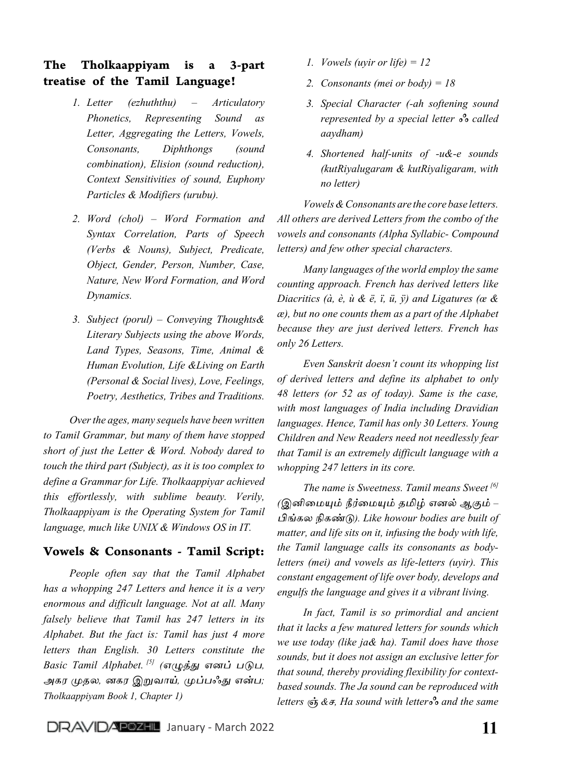## The Tholkaappiyam is a 3-part treatise of the Tamil Language!

- *1. Letter (ezhuththu) Articulatory Phonetics, Representing Sound as Letter, Aggregating the Letters, Vowels, Consonants, Diphthongs (sound combination), Elision (sound reduction), Context Sensitivities of sound, Euphony Particles & Modifiers (urubu).*
- *2. Word (chol) Word Formation and Syntax Correlation, Parts of Speech (Verbs & Nouns), Subject, Predicate, Object, Gender, Person, Number, Case, Nature, New Word Formation, and Word Dynamics.*
- *3. Subject (porul) Conveying Thoughts& Literary Subjects using the above Words, Land Types, Seasons, Time, Animal & Human Evolution, Life &Living on Earth (Personal & Social lives), Love, Feelings, Poetry, Aesthetics, Tribes and Traditions.*

*Over the ages, many sequels have been written to Tamil Grammar, but many of them have stopped short of just the Letter & Word. Nobody dared to touch the third part (Subject), as it is too complex to define a Grammar for Life. Tholkaappiyar achieved this effortlessly, with sublime beauty. Verily, Tholkaappiyam is the Operating System for Tamil language, much like UNIX & Windows OS in IT.*

## Vowels & Consonants - Tamil Script:

*People often say that the Tamil Alphabet has a whopping 247 Letters and hence it is a very enormous and difficult language. Not at all. Many falsely believe that Tamil has 247 letters in its Alphabet. But the fact is: Tamil has just 4 more letters than English. 30 Letters constitute the Basic Tamil Alphabet. [5] (எழுத்து எனப் படுப, அகர முதல, னகர இறுவாய், முப்பஃது என்ப; Tholkaappiyam Book 1, Chapter 1)*

- *1. Vowels (uyir or life) = 12*
- *2. Consonants (mei or body) = 18*
- *3. Special Character (-ah softening sound represented by a special letter ஃ called aaydham)*
- *4. Shortened half-units of -u&-e sounds (kutRiyalugaram & kutRiyaligaram, with no letter)*

*Vowels & Consonants are the core base letters. All others are derived Letters from the combo of the vowels and consonants (Alpha Syllabic- Compound letters) and few other special characters.*

*Many languages of the world employ the same counting approach. French has derived letters like Diacritics (à, è, ù & ë, ï, ü, ÿ) and Ligatures (œ & æ), but no one counts them as a part of the Alphabet because they are just derived letters. French has only 26 Letters.* 

*Even Sanskrit doesn't count its whopping list of derived letters and define its alphabet to only 48 letters (or 52 as of today). Same is the case, with most languages of India including Dravidian languages. Hence, Tamil has only 30 Letters. Young Children and New Readers need not needlessly fear that Tamil is an extremely difficult language with a whopping 247 letters in its core.*

*The name is Sweetness. Tamil means Sweet [6] (இனிமையும் நீர்மையும் தமிழ் எனல் ஆகும் – பிங்கல நிகண்டு). Like howour bodies are built of matter, and life sits on it, infusing the body with life, the Tamil language calls its consonants as bodyletters (mei) and vowels as life-letters (uyir). This constant engagement of life over body, develops and engulfs the language and gives it a vibrant living.*

*In fact, Tamil is so primordial and ancient that it lacks a few matured letters for sounds which we use today (like ja& ha). Tamil does have those sounds, but it does not assign an exclusive letter for that sound, thereby providing flexibility for contextbased sounds. The Ja sound can be reproduced with letters ஞ் &ச, Ha sound with letterஃ and the same*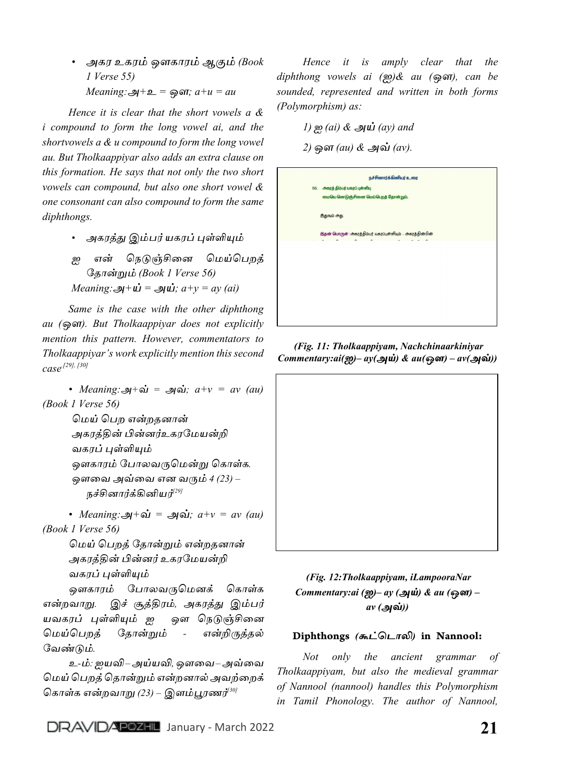*• அகர உகரம் ஒளகாரம் ஆகும் (Book 1 Verse 55) Meaning:அ+உ = ஒள; a+u = au*

*Hence it is clear that the short vowels a & i compound to form the long vowel ai, and the shortvowels a & u compound to form the long vowel au. But Tholkaappiyar also adds an extra clause on this formation. He says that not only the two short vowels can compound, but also one short vowel & one consonant can also compound to form the same diphthongs.*

*• அகரத்து இம்பர் யகரப் புள்ளியும்*

*ஐ என் நெடுஞ்சினை மெய்பெறத் தோன்றும் (Book 1 Verse 56) Meaning:*  $\mathbf{a} + \mathbf{u} = \mathbf{a} \mathbf{u}$ ;  $a + y = ay$  (ai)

*Same is the case with the other diphthong au (ஒள). But Tholkaappiyar does not explicitly mention this pattern. However, commentators to Tholkaappiyar's work explicitly mention this second case.[29], [30]*

*• Meaning:அ+வ் = அவ்; a+v = av (au) (Book 1 Verse 56)*

> *மெய் பெற என்றதனான் அகரத்தின் பின்னர்உகரமேயன்றி வகரப் புள்ளியும் ஒளகாரம் ப�ோலவருமென்று கொள்க. ஒளவை அவ்வை என வரும் 4 (23) – நச்சினார்க்கினியர்[29]*

*• Meaning:அ+வ் = அவ்; a+v = av (au) (Book 1 Verse 56)*

> *மெய் பெறத் தோன்றும் என்றதனான் அகரத்தின் பின்னர் உகரமேயன்றி வகரப் புள்ளியும்*

*ஒளகாரம் ப�ோலவருமெனக் கொள்க என்றவாறு. இச் சூத்திரம், அகரத்து இம்பர் யவகரப் புள்ளியும் ஐ ஒள நெடுஞ்சினை மெய்பெறத் தோன்றும் - என்றிருத்தல் வேண்டும்.*

*உ-ம்: ஐயவி – அய்யவி, ஒளவை – அவ்வை மெய் பெறத்தொன்றும் என்றனால் அவற்றைக் கொள்க என்றவாறு (23) – இளம்பூரணர்[30]*

*Hence it is amply clear that the diphthong vowels ai (ஐ)& au (ஒள), can be sounded, represented and written in both forms (Polymorphism) as:*

*1) ஐ (ai) & அய் (ay) and*

*2)ஒள (au) & அவ் (av).*

 *(Fig. 11: Tholkaappiyam, Nachchinaarkiniyar Commentary:ai(ஐ)– ay(அய்) & au(ஒள) – av(அவ்))*

## *(Fig. 12:Tholkaappiyam, iLampooraNar Commentary:ai (ஐ)– ay (அய்) & au (ஒள) – av (அவ்))*

#### Diphthongs *(கூட்டொலி)* in Nannool:

*Not only the ancient grammar of Tholkaappiyam, but also the medieval grammar of Nannool (nannool) handles this Polymorphism in Tamil Phonology. The author of Nannool,*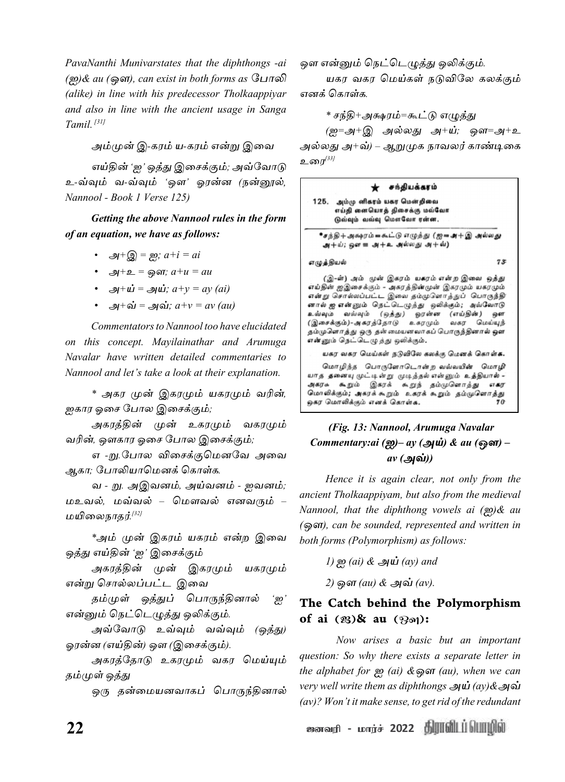*PavaNanthi Munivarstates that the diphthongs -ai (ஐ)& au (ஒள), can exist in both forms as ப�ோலி (alike) in line with his predecessor Tholkaappiyar and also in line with the ancient usage in Sanga Tamil. [31]*

*அம்முன் இ-கரம் ய-கரம் என்று இவை*

*எய்தின் 'ஐ' ஒத்து இசைக்கும்; அவ்வோடு உ-வ்வும் வ-வ்வும் 'ஒள' ஓரன்ன (நன்னூல், Nannool - Book 1 Verse 125)*

*Getting the above Nannool rules in the form of an equation, we have as follows:*

- *• அ+இ = ஐ; a+i = ai*
- *• அ+உ = ஒள; a+u = au*
- *• அ+ய் = அய்; a+y = ay (ai)*
- *• அ+வ் = அவ்; a+v = av (au)*

*Commentators to Nannool too have elucidated on this concept. Mayilainathar and Arumuga Navalar have written detailed commentaries to Nannool and let's take a look at their explanation.*

*\* அகர முன் இகரமும் யகரமும் வரின், ஐகார ஓசை ப�ோல இசைக்கும்;*

*அகரத்தின் முன் உகரமும் வகரமும் வரின், ஒளகார ஓசை ப�ோல இசைக்கும்;*

*எ -று.ப�ோல விசைக்குமெனவே அவை ஆகா; ப�ோலியாமெனக் கொள்க.*

*வ - று. அஇவனம், அய்வனம் - ஐவனம்; மஉவல், மவ்வல் – மௌவல் எனவரும் – மயிலைநாதர். [32]*

*\*அம் முன் இகரம் யகரம் என்ற இவை ஒத்து எய்தின் 'ஐ' இசைக்கும்*

*அகரத்தின் முன் இகரமும் யகரமும் என்று ச�ொல்லப்பட்ட இவை*

*தம்முள் ஒத்துப் ப�ொருந்தினால் 'ஐ' என்னும் நெட்டெழுத்து ஒலிக்கும்.*

*அவ்வோடு உவ்வும் வவ்வும் (ஒத்து) ஓரன்ன (எய்தின்) ஒள (இசைக்கும்).*

*அகரத்தோடு உகரமும் வகர மெய்யும் தம்முள் ஒத்து*

*ஒரு தன்மையனவாகப் ப�ொருந்தினால்* 

*ஒள என்னும் நெட்டெழுத்து ஒலிக்கும்.*

*யகர வகர மெய்கள் நடுவிலே கலக்கும் எனக் கொள்க.*

*\* சந்தி+அக்ஷரம்=கூட்டு எழுத்து*

*(ஐ=அ+இ அல்லது அ+ய்; ஒள=அ+உ அல்லது அ+வ்) – ஆறுமுக நாவலர் காண்டிகை உரை[33]*

#### சந்தியக்கரம்

125. அம்மு னிகரம் யகர மென்றிவை எய்தி ளையொத் திசைக்கு மவ்வோ டுவ்வும் வவ்வு மௌவோ ரன்ன.

எழுத்தியல்

∙சந்தி+அகூரம்=சுட்டு எழுத்து (ஐ=அ+இ அல்லது  $x + \omega$ ; ஒள $x = x + 2$  அல்லது அ $x + \omega$ )

 $73$ 

(இ-ள்) அம் முன் இகரம் யகரம் என்ற இவை ஒத்து எய்தின் ஐஇசைக்கும் - அகரத்தின்முன் இகரமும் யகரமும் என்று சொல்லப்பட்ட இவை தம்முளொத்துப் பொருந்தி னால் ஐ என்னும் நெட்டெழுத்து ஒலிக்கும்; அவ்வோடு உவவும் வவ்வும் (ஒத்து) ஓரன்ன (எய்தின்) ஒள<br>(இசைக்கும்)-அகரத்தோடு உகரமும் வகர மெய்யுந் தம்முளொத்து ஒரு தன்மையனவாகப் பொருந்தினால் ஒள<br>என்னும் நெட்டெழுத்து ஒலிக்கும்.

யகர வகர மெய்கள் நடுவிலே கலக்கு மெனக் கொள்க.

மொழிந்த பொருளோடொன்ற வவ்வயின் மொழி யாத தனையு முட்டின்று முடித்தல் என்னும் உத்தியால் -— தாய்ப்பு முட்டிய நடுப்பது வானது உத்து பார்<br>அகரசு கூறும் இகரக் கூறுந் தம்முளொத்து எகர<br>மொலிக்கும்**; அ**கரக்கூறும் உகரக்கூறும் தம்முளொத்து ஒகர மொலிக்கும் எனக் கொள்க.

## *(Fig. 13: Nannool, Arumuga Navalar Commentary:ai (ஐ)– ay (அய்) & au (ஒள) – av (அவ்))*

*Hence it is again clear, not only from the ancient Tholkaappiyam, but also from the medieval Nannool, that the diphthong vowels ai (ஐ)& au (ஒள), can be sounded, represented and written in both forms (Polymorphism) as follows:*

*1)ஐ (ai) & அய் (ay) and*

*2)ஒள (au) & அவ் (av).*

## The Catch behind the Polymorphism of ai (ஐ)& au (ஒள):

*Now arises a basic but an important question: So why there exists a separate letter in the alphabet for ஐ (ai) &ஒள (au), when we can very well write them as diphthongs அய் (ay)&அவ் (av)? Won't it make sense, to get rid of the redundant*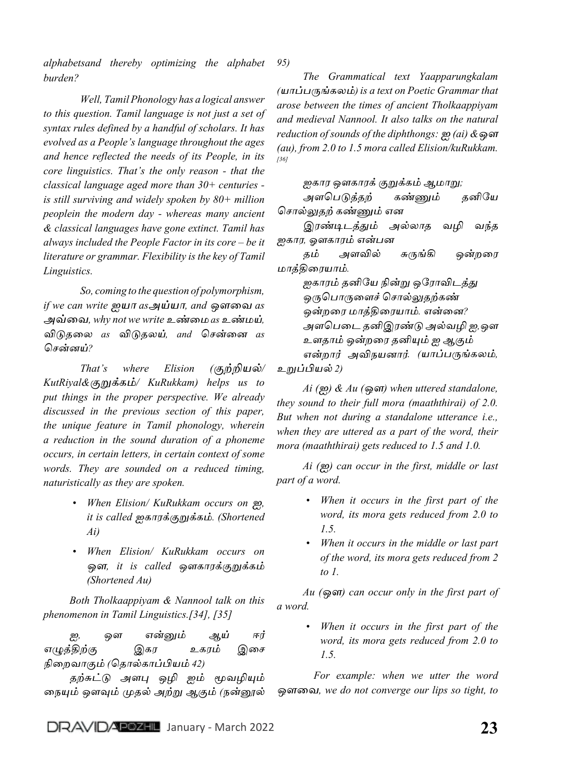*alphabetsand thereby optimizing the alphabet burden? 95)*

*Well, Tamil Phonology has a logical answer to this question. Tamil language is not just a set of syntax rules defined by a handful of scholars. It has evolved as a People's language throughout the ages and hence reflected the needs of its People, in its core linguistics. That's the only reason - that the classical language aged more than 30+ centuries is still surviving and widely spoken by 80+ million peoplein the modern day - whereas many ancient & classical languages have gone extinct. Tamil has always included the People Factor in its core – be it literature or grammar. Flexibility is the key of Tamil Linguistics.*

*So, coming to the question of polymorphism, if we can write ஐயா asஅய்யா, and ஒளவை as அவ்வை, why not we write உண்மை as உண்மய், விடுதலை as விடுதலய், and சென்னை as சென்னய்?*

*That's where Elision (குற்றியல்/ KutRiyal&குறுக்கம்/ KuRukkam) helps us to put things in the proper perspective. We already discussed in the previous section of this paper, the unique feature in Tamil phonology, wherein a reduction in the sound duration of a phoneme occurs, in certain letters, in certain context of some words. They are sounded on a reduced timing, naturistically as they are spoken.*

- *• When Elision/ KuRukkam occurs on ஐ, it is called ஐகாரக்குறுக்கம். (Shortened Ai)*
- *• When Elision/ KuRukkam occurs on ஒள, it is called ஒளகாரக்குறுக்கம் (Shortened Au)*

*Both Tholkaappiyam & Nannool talk on this phenomenon in Tamil Linguistics.[34], [35]*

*ஐ, ஒள என்னும் ஆய் ஈர் எழுத்திற்கு இகர உகரம் இசை நிறைவாகும் (தொல்காப்பியம் 42)*

*தற்சுட்டு அளபு ஒழி ஐம் மூவழியும் நையும் ஒளவும் முதல் அற்று ஆகும் (நன்னூல்* 

*The Grammatical text Yaapparungkalam (யாப்பருங்கலம்) is a text on Poetic Grammar that arose between the times of ancient Tholkaappiyam and medieval Nannool. It also talks on the natural reduction of sounds of the diphthongs: ஐ (ai) &ஒள (au), from 2.0 to 1.5 mora called Elision/kuRukkam. [36]*

*ஐகார ஒளகாரக் குறுக்கம் ஆமாறு;* 

*அளபெடுத்தற் கண்ணும் தனியே ச�ொல்லுதற் கண்ணும் என* 

*இரண்டிடத்தும் அல்லாத வழி வந்த ஐகார, ஓளகாரம் என்பன* 

*தம் அளவில் சுருங்கி ஒன்றரை மாத்திரையாம்.* 

*ஐகாரம் தனியே நின்று ஒரோவிடத்து ஒருப�ொருளைச் ச�ொல்லுதற்கண் ஒன்றரை மாத்திரையாம். என்னை? அளபெடை தனிஇரண்டு அல்வழி ஐ,ஒள உளதாம் ஒன்றரை தனியும் ஐ ஆகும் என்றார் அவிநயனார். (யாப்பருங்கலம், உறுப்பியல் 2)*

*Ai (ஐ) & Au (ஒள) when uttered standalone, they sound to their full mora (maaththirai) of 2.0. But when not during a standalone utterance i.e., when they are uttered as a part of the word, their mora (maaththirai) gets reduced to 1.5 and 1.0.* 

*Ai (ஐ) can occur in the first, middle or last part of a word.* 

- *• When it occurs in the first part of the word, its mora gets reduced from 2.0 to 1.5.*
- *• When it occurs in the middle or last part of the word, its mora gets reduced from 2 to 1.*

*Au (ஒள) can occur only in the first part of a word.* 

> *• When it occurs in the first part of the word, its mora gets reduced from 2.0 to 1.5.*

*For example: when we utter the word ஒளவை, we do not converge our lips so tight, to*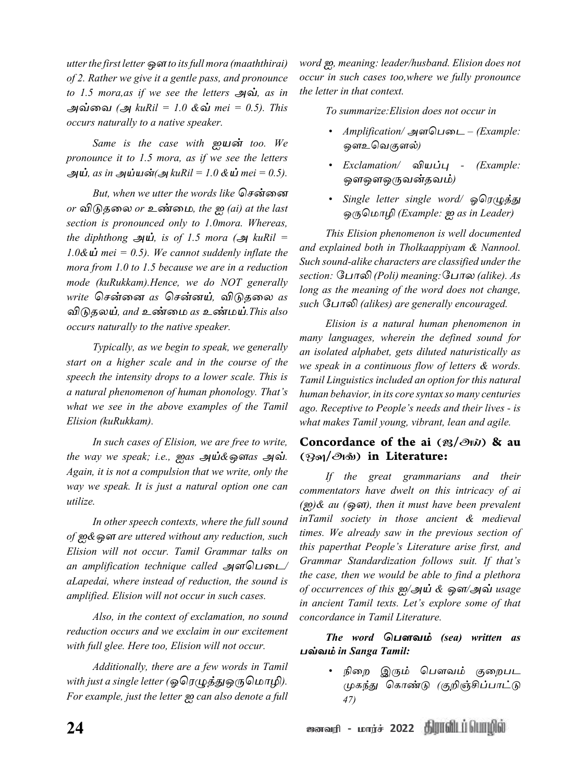*utter the first letter ஒள to its full mora (maaththirai) of 2. Rather we give it a gentle pass, and pronounce to 1.5 mora,as if we see the letters அவ், as in அவ்வை (அ kuRil = 1.0 &வ் mei = 0.5). This occurs naturally to a native speaker.* 

*Same is the case with ஐயன் too. We pronounce it to 1.5 mora, as if we see the letters அய், as in அய்யன்(அ kuRil = 1.0 &ய் mei = 0.5).*

*But, when we utter the words like சென்னை or விடுதலை or உண்மை, the ஐ (ai) at the last section is pronounced only to 1.0mora. Whereas,*   $the$  diphthong அய், is of 1.5 mora (அ kuRil = 1.0 $\&$   $\mathbf{\dot{\omega}}$  mei = 0.5). We cannot suddenly inflate the *mora from 1.0 to 1.5 because we are in a reduction mode (kuRukkam).Hence, we do NOT generally write சென்னை as சென்னய், விடுதலை as விடுதலய், and உண்மை as உண்மய்.This also occurs naturally to the native speaker.*

*Typically, as we begin to speak, we generally start on a higher scale and in the course of the speech the intensity drops to a lower scale. This is a natural phenomenon of human phonology. That's what we see in the above examples of the Tamil Elision (kuRukkam).* 

*In such cases of Elision, we are free to write, the way we speak; i.e., ஐas அய்&ஒளas அவ். Again, it is not a compulsion that we write, only the way we speak. It is just a natural option one can utilize.*

*In other speech contexts, where the full sound of ஐ&ஒள are uttered without any reduction, such Elision will not occur. Tamil Grammar talks on an amplification technique called அளபெடை/ aLapedai, where instead of reduction, the sound is amplified. Elision will not occur in such cases.*

*Also, in the context of exclamation, no sound reduction occurs and we exclaim in our excitement with full glee. Here too, Elision will not occur.* 

*Additionally, there are a few words in Tamil with just a single letter (ஓரெழுத்துஒருமொழி). For example, just the letter ஐ can also denote a full*  *word ஐ, meaning: leader/husband. Elision does not occur in such cases too,where we fully pronounce the letter in that context.*

*To summarize:Elision does not occur in*

- *• Amplification/ அளபெடை (Example: ஒளஉவெகுளல்)*
- *• Exclamation/ வியப்பு (Example: ஒளஒளஒருவன்தவம்)*
- *• Single letter single word/ ஓரெழுத்து ஒருமொழி (Example: ஐ as in Leader)*

*This Elision phenomenon is well documented and explained both in Tholkaappiyam & Nannool. Such sound-alike characters are classified under the section: ப�ோலி (Poli) meaning:ப�ோல (alike). As long as the meaning of the word does not change, such ப�ோலி (alikes) are generally encouraged.*

*Elision is a natural human phenomenon in many languages, wherein the defined sound for an isolated alphabet, gets diluted naturistically as we speak in a continuous flow of letters & words. Tamil Linguistics included an option for this natural human behavior, in its core syntax so many centuries ago. Receptive to People's needs and their lives - is what makes Tamil young, vibrant, lean and agile.*

## Concordance of the ai  $\left(\mathcal{B}/\mathcal{O}\right)$   $\mathcal{B}$  au (ஒள/அவ்) in Literature:

*If the great grammarians and their commentators have dwelt on this intricacy of ai (ஐ)& au (ஒள), then it must have been prevalent inTamil society in those ancient & medieval times. We already saw in the previous section of this paperthat People's Literature arise first, and Grammar Standardization follows suit. If that's the case, then we would be able to find a plethora of occurrences of this ஐ/அய் & ஒள/அவ் usage in ancient Tamil texts. Let's explore some of that concordance in Tamil Literature.*

*The word பெளவம் (sea) written as பவ்வம் in Sanga Tamil:*

> *• நிறை இரும் ப�ௌவம் குறைபட முகந்து கொண்டு (குறிஞ்சிப்பாட்டு 47)*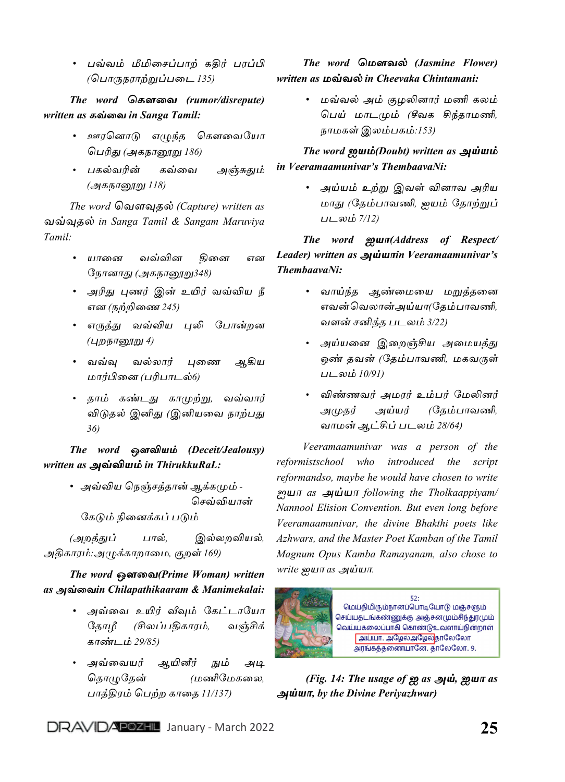*• பவ்வம் மீமிசைப்பாற் கதிர் பரப்பி (ப�ொருநராற்றுப்படை 135)*

*The word கெளவை (rumor/disrepute) written as கவ்வை in Sanga Tamil:*

- *• ஊரனொடு எழுந்த கௌவையோ பெரிது (அகநானூறு 186)*
- *பகல்வரின் கவ்வை அஞ்சுதும் (அகநானூறு 118)*

*The word வெளவுதல் (Capture) written as வவ்வுதல் in Sanga Tamil & Sangam Maruviya Tamil:*

- *• யானை வவ்வின தினை என நோனாது (அகநானூறு348)*
- *• அரிது புணர் இன் உயிர் வவ்விய நீ என (நற்றிணை 245)*
- *• எருத்து வவ்விய புலி ப�ோன்றன (புறநானூறு 4)*
- *• வவ்வு வல்லார் புணை ஆகிய மார்பினை (பரிபாடல்6)*
- *தாம் கண்டது காமுற்று, வவ்வார் விடுதல் இனிது (இனியவை நாற்பது 36)*

*The word ஒளவியம் (Deceit/Jealousy) written as அவ்வியம் in ThirukkuRaL:*

> *• அவ்விய நெஞ்சத்தான் ஆக்கமும் - செவ்வியான்*

 *கேடும் நினைக்கப் படும்*

*(அறத்துப் பால், இல்லறவியல், அதிகாரம்:அழுக்காறாமை, குறள் 169)*

## *The word ஒளவை(Prime Woman) written as அவ்வைin Chilapathikaaram & Manimekalai:*

- *• அவ்வை உயிர் வீவும் கேட்டாயோ தோழீ (சிலப்பதிகாரம், வஞ்சிக் காண்டம் 29/85)*
- *• அவ்வையர் ஆயினீர் நும் அடி தொழுதேன் (மணிமேகலை, பாத்திரம் பெற்ற காதை 11/137)*

## *The word மெளவல் (Jasmine Flower) written as மவ்வல் in Cheevaka Chintamani:*

*• மவ்வல் அம் குழலினார் மணி கலம் பெய் மாடமும் (சீவக சிந்தாமணி, நாமகள் இலம்பகம்:153)*

*The word ஐயம்(Doubt) written as அய்யம் in Veeramaamunivar's ThembaavaNi:*

> *• அய்யம் உற்று இவள் வினாவ அரிய மாது (தேம்பாவணி, ஐயம் தோற்றுப் படலம் 7/12)*

*The word ஐயா(Address of Respect/ Leader) written as அய்யாin Veeramaamunivar's ThembaavaNi:*

- *• வாய்ந்த ஆண்மையை மறுத்தனை எவன் வெலான் அய்யா(தேம்பாவணி, வளன் சனித்த படலம் 3/22)*
- *• அய்யனை இறைஞ்சிய அமையத்து ஒண் தவன் (தேம்பாவணி, மகவருள் படலம் 10/91)*
- *• விண்ணவர் அமரர் உம்பர் மேலினர் அமுதர் அய்யர் (தேம்பாவணி, வாமன் ஆட்சிப் படலம் 28/64)*

*Veeramaamunivar was a person of the reformistschool who introduced the script reformandso, maybe he would have chosen to write ஐயா as அய்யா following the Tholkaappiyam/ Nannool Elision Convention. But even long before Veeramaamunivar, the divine Bhakthi poets like Azhwars, and the Master Poet Kamban of the Tamil Magnum Opus Kamba Ramayanam, also chose to write ஐயா as அய்யா.*



 *(Fig. 14: The usage of ஐ as அய், ஐயா as அய்யா, by the Divine Periyazhwar)*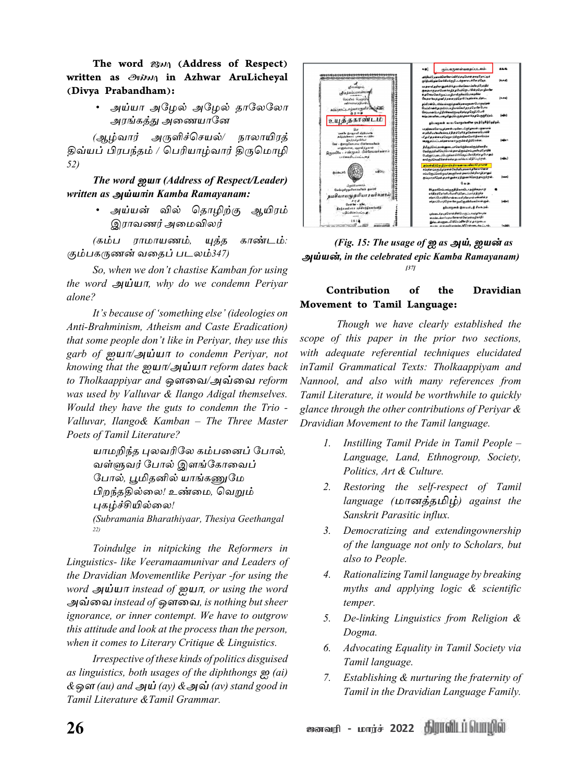The word  $\mathcal{B}(\mathcal{M})$  (Address of Respect) written as அய்யா in Azhwar AruLicheyal (Divya Prabandham):

> *• அய்யா அழேல் அழேல் தாலேலோ அரங்கத்து அணையானே*

*(ஆழ்வார் அருளிச்செயல்/ நாலாயிரத் திவ்யப் பிரபந்தம் / பெரியாழ்வார் திருமொழி 52)*

*The word ஐயா (Address of Respect/Leader) written as அய்யாin Kamba Ramayanam:*

> *• அய்யன் வில் தொழிற்கு ஆயிரம் இராவணர் அமைவிலர்*

*(கம்ப ராமாயணம், யுத்த காண்டம்: கும்பகருணன் வதைப் படலம்347)*

*So, when we don't chastise Kamban for using the word அய்யா, why do we condemn Periyar alone?*

*It's because of 'something else' (ideologies on Anti-Brahminism, Atheism and Caste Eradication) that some people don't like in Periyar, they use this garb of ஐயா/அய்யா to condemn Periyar, not knowing that the ஐயா/அய்யா reform dates back to Tholkaappiyar and ஒளவை/அவ்வை reform was used by Valluvar & Ilango Adigal themselves. Would they have the guts to condemn the Trio - Valluvar, Ilango& Kamban – The Three Master Poets of Tamil Literature?*

```
யாமறிந்த புலவரிலே கம்பனைப் ப�ோல்,
வள்ளுவர் ப�ோல் இளங்கோவைப் 
ப�ோல், பூமிதனில் யாங்கணுமே
பிறந்ததில்லை! உண்மை, வெறும் 
புகழ்ச்சியில்லை! 
(Subramania Bharathiyaar, Thesiya Geethangal 
22)
```
*Toindulge in nitpicking the Reformers in Linguistics- like Veeramaamunivar and Leaders of the Dravidian Movementlike Periyar -for using the word அய்யா instead of ஐயா, or using the word அவ்வை instead of ஒளவை, is nothing but sheer ignorance, or inner contempt. We have to outgrow this attitude and look at the process than the person, when it comes to Literary Critique & Linguistics.*

*Irrespective of these kinds of politics disguised as linguistics, both usages of the diphthongs ஐ (ai) &ஒள (au) and அய் (ay) &அவ் (av) stand good in Tamil Literature &Tamil Grammar.*



*(Fig. 15: The usage of ஐ as அய், ஐயன் as அய்யன், in the celebrated epic Kamba Ramayanam) [37]*

## Contribution of the Dravidian Movement to Tamil Language:

*Though we have clearly established the scope of this paper in the prior two sections, with adequate referential techniques elucidated inTamil Grammatical Texts: Tholkaappiyam and Nannool, and also with many references from Tamil Literature, it would be worthwhile to quickly glance through the other contributions of Periyar & Dravidian Movement to the Tamil language.*

- *1. Instilling Tamil Pride in Tamil People – Language, Land, Ethnogroup, Society, Politics, Art & Culture.*
- *2. Restoring the self-respect of Tamil language (மானத்தமிழ்) against the Sanskrit Parasitic influx.*
- *3. Democratizing and extendingownership of the language not only to Scholars, but also to People.*
- *4. Rationalizing Tamil language by breaking myths and applying logic & scientific temper.*
- *5. De-linking Linguistics from Religion & Dogma.*
- *6. Advocating Equality in Tamil Society via Tamil language.*
- *7. Establishing & nurturing the fraternity of Tamil in the Dravidian Language Family.*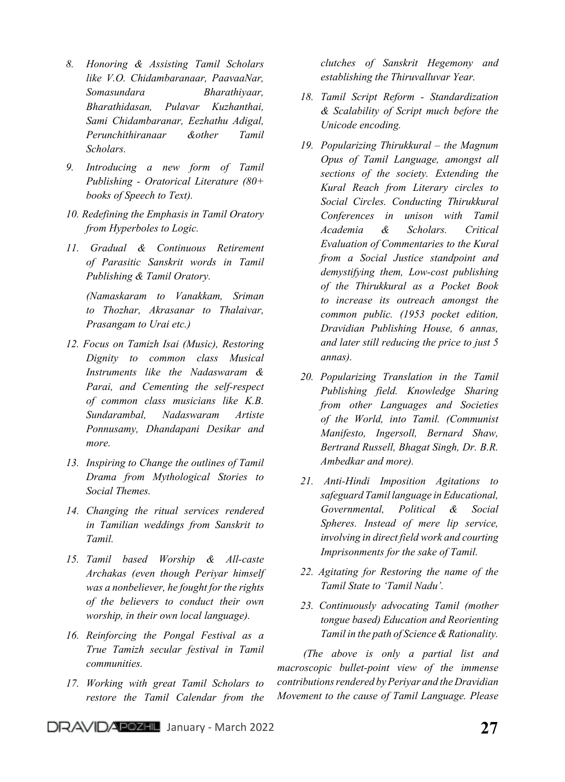- *8. Honoring & Assisting Tamil Scholars like V.O. Chidambaranaar, PaavaaNar, Somasundara Bharathiyaar, Bharathidasan, Pulavar Kuzhanthai, Sami Chidambaranar, Eezhathu Adigal, Perunchithiranaar &other Tamil Scholars.*
- *9. Introducing a new form of Tamil Publishing - Oratorical Literature (80+ books of Speech to Text).*
- *10. Redefining the Emphasis in Tamil Oratory from Hyperboles to Logic.*
- *11. Gradual & Continuous Retirement of Parasitic Sanskrit words in Tamil Publishing & Tamil Oratory.*

*(Namaskaram to Vanakkam, Sriman to Thozhar, Akrasanar to Thalaivar, Prasangam to Urai etc.)*

- *12. Focus on Tamizh Isai (Music), Restoring Dignity to common class Musical Instruments like the Nadaswaram & Parai, and Cementing the self-respect of common class musicians like K.B. Sundarambal, Nadaswaram Artiste Ponnusamy, Dhandapani Desikar and more.*
- *13. Inspiring to Change the outlines of Tamil Drama from Mythological Stories to Social Themes.*
- *14. Changing the ritual services rendered in Tamilian weddings from Sanskrit to Tamil.*
- *15. Tamil based Worship & All-caste Archakas (even though Periyar himself was a nonbeliever, he fought for the rights of the believers to conduct their own worship, in their own local language).*
- *16. Reinforcing the Pongal Festival as a True Tamizh secular festival in Tamil communities.*
- *17. Working with great Tamil Scholars to restore the Tamil Calendar from the*

*clutches of Sanskrit Hegemony and establishing the Thiruvalluvar Year.*

- *18. Tamil Script Reform Standardization & Scalability of Script much before the Unicode encoding.*
- *19. Popularizing Thirukkural the Magnum Opus of Tamil Language, amongst all sections of the society. Extending the Kural Reach from Literary circles to Social Circles. Conducting Thirukkural Conferences in unison with Tamil Academia & Scholars. Critical Evaluation of Commentaries to the Kural from a Social Justice standpoint and demystifying them, Low-cost publishing of the Thirukkural as a Pocket Book to increase its outreach amongst the common public. (1953 pocket edition, Dravidian Publishing House, 6 annas, and later still reducing the price to just 5 annas).*
- *20. Popularizing Translation in the Tamil Publishing field. Knowledge Sharing from other Languages and Societies of the World, into Tamil. (Communist Manifesto, Ingersoll, Bernard Shaw, Bertrand Russell, Bhagat Singh, Dr. B.R. Ambedkar and more).*
- *21. Anti-Hindi Imposition Agitations to safeguard Tamil language in Educational, Governmental, Political & Social Spheres. Instead of mere lip service, involving in direct field work and courting Imprisonments for the sake of Tamil.*
- *22. Agitating for Restoring the name of the Tamil State to 'Tamil Nadu'.*
- *23. Continuously advocating Tamil (mother tongue based) Education and Reorienting Tamil in the path of Science & Rationality.*

*(The above is only a partial list and macroscopic bullet-point view of the immense contributions rendered by Periyar and the Dravidian Movement to the cause of Tamil Language. Please*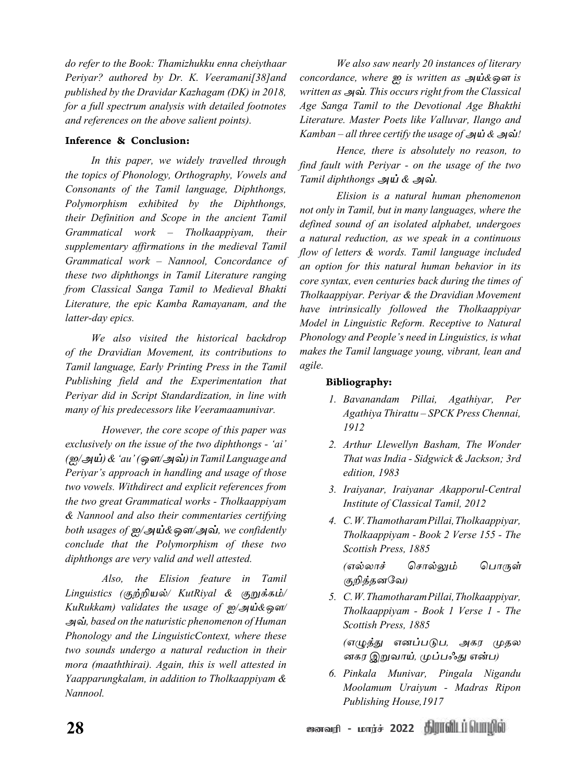*do refer to the Book: Thamizhukku enna cheiythaar Periyar? authored by Dr. K. Veeramani[38]and published by the Dravidar Kazhagam (DK) in 2018, for a full spectrum analysis with detailed footnotes and references on the above salient points).*

## Inference & Conclusion:

*In this paper, we widely travelled through the topics of Phonology, Orthography, Vowels and Consonants of the Tamil language, Diphthongs, Polymorphism exhibited by the Diphthongs, their Definition and Scope in the ancient Tamil Grammatical work – Tholkaappiyam, their supplementary affirmations in the medieval Tamil Grammatical work – Nannool, Concordance of these two diphthongs in Tamil Literature ranging from Classical Sanga Tamil to Medieval Bhakti Literature, the epic Kamba Ramayanam, and the latter-day epics.*

*We also visited the historical backdrop of the Dravidian Movement, its contributions to Tamil language, Early Printing Press in the Tamil Publishing field and the Experimentation that Periyar did in Script Standardization, in line with many of his predecessors like Veeramaamunivar.*

*However, the core scope of this paper was exclusively on the issue of the two diphthongs - 'ai' (ஐ/அய்) & 'au' (ஒள/அவ்) in Tamil Language and Periyar's approach in handling and usage of those two vowels. Withdirect and explicit references from the two great Grammatical works - Tholkaappiyam & Nannool and also their commentaries certifying both usages of ஐ/அய்&ஒள/அவ், we confidently conclude that the Polymorphism of these two diphthongs are very valid and well attested.* 

*Also, the Elision feature in Tamil Linguistics (குற்றியல்/ KutRiyal & குறுக்கம்/ KuRukkam) validates the usage of ஐ/அய்&ஒள/ அவ், based on the naturistic phenomenon of Human Phonology and the LinguisticContext, where these two sounds undergo a natural reduction in their mora (maaththirai). Again, this is well attested in Yaapparungkalam, in addition to Tholkaappiyam & Nannool.*

*We also saw nearly 20 instances of literary concordance, where ஐ is written as அய்&ஒள is written as அவ். This occurs right from the Classical Age Sanga Tamil to the Devotional Age Bhakthi Literature. Master Poets like Valluvar, Ilango and Kamban – all three certify the usage of அய் & அவ்!*

*Hence, there is absolutely no reason, to find fault with Periyar - on the usage of the two Tamil diphthongs அய் & அவ்.*

*Elision is a natural human phenomenon not only in Tamil, but in many languages, where the defined sound of an isolated alphabet, undergoes a natural reduction, as we speak in a continuous flow of letters & words. Tamil language included an option for this natural human behavior in its core syntax, even centuries back during the times of Tholkaappiyar. Periyar & the Dravidian Movement have intrinsically followed the Tholkaappiyar Model in Linguistic Reform. Receptive to Natural Phonology and People's need in Linguistics, is what makes the Tamil language young, vibrant, lean and agile.*

## Bibliography:

- *1. Bavanandam Pillai, Agathiyar, Per Agathiya Thirattu – SPCK Press Chennai, 1912*
- *2. Arthur Llewellyn Basham, The Wonder That was India - Sidgwick & Jackson; 3rd edition, 1983*
- *3. Iraiyanar, Iraiyanar Akapporul-Central Institute of Classical Tamil, 2012*
- *4. C. W. Thamotharam Pillai, Tholkaappiyar, Tholkaappiyam - Book 2 Verse 155 - The Scottish Press, 1885*

*(எல்லாச் ச�ொல்லும் ப�ொருள் குறித்தனவே)*

*5. C. W. Thamotharam Pillai, Tholkaappiyar, Tholkaappiyam - Book 1 Verse 1 - The Scottish Press, 1885*

*(எழுத்து எனப்படுப, அகர முதல னகர இறுவாய், முப்பஃது என்ப)*

*6. Pinkala Munivar, Pingala Nigandu Moolamum Uraiyum - Madras Ripon Publishing House,1917*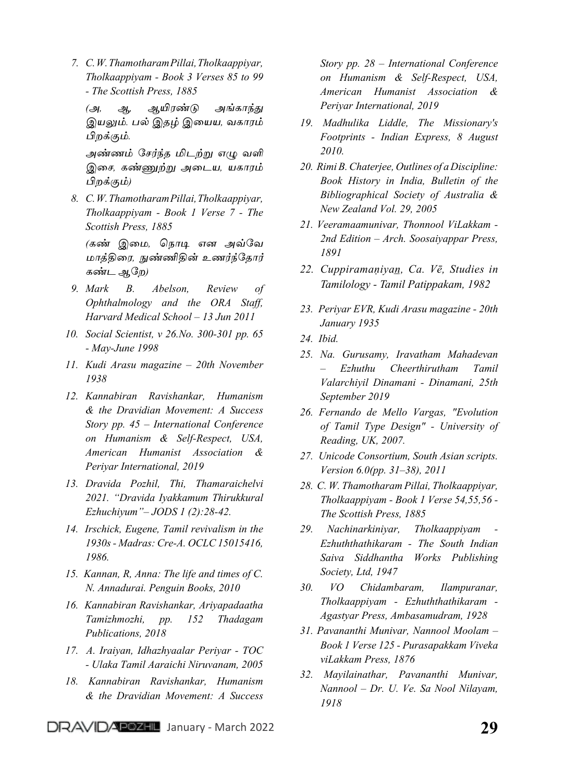*7. C. W. Thamotharam Pillai, Tholkaappiyar, Tholkaappiyam - Book 3 Verses 85 to 99 - The Scottish Press, 1885*

*(அ, ஆ, ஆயிரண்டு அங்காந்து இயலும். பல் இதழ் இயைய, வகாரம் பிறக்கும்.*

*அண்ணம் சேர்ந்த மிடற்று எழு வளி இசை, கண்ணுற்று அடைய, யகாரம் பிறக்கும்)*

*8. C. W. Thamotharam Pillai, Tholkaappiyar, Tholkaappiyam - Book 1 Verse 7 - The Scottish Press, 1885*

*(கண் இமை, நொடி என அவ்வே மாத்திரை, நுண்ணிதின் உணர்ந்தோர் கண்ட ஆறே)*

- *9. Mark B. Abelson, Review of Ophthalmology and the ORA Staff, Harvard Medical School – 13 Jun 2011*
- *10. Social Scientist, v 26.No. 300-301 pp. 65 - May-June 1998*
- *11. Kudi Arasu magazine 20th November 1938*
- *12. Kannabiran Ravishankar, Humanism & the Dravidian Movement: A Success Story pp. 45 – International Conference on Humanism & Self-Respect, USA, American Humanist Association & Periyar International, 2019*
- *13. Dravida Pozhil, Thi, Thamaraichelvi 2021. "Dravida Iyakkamum Thirukkural Ezhuchiyum"– JODS 1 (2):28-42.*
- *14. Irschick, Eugene, Tamil revivalism in the 1930s - Madras: Cre-A. OCLC 15015416, 1986.*
- *15. Kannan, R, Anna: The life and times of C. N. Annadurai. Penguin Books, 2010*
- *16. Kannabiran Ravishankar, Ariyapadaatha Tamizhmozhi, pp. 152 Thadagam Publications, 2018*
- *17. A. Iraiyan, Idhazhyaalar Periyar TOC - Ulaka Tamil Aaraichi Niruvanam, 2005*
- *18. Kannabiran Ravishankar, Humanism & the Dravidian Movement: A Success*

*Story pp. 28 – International Conference on Humanism & Self-Respect, USA, American Humanist Association & Periyar International, 2019*

- *19. Madhulika Liddle, The Missionary's Footprints - Indian Express, 8 August 2010.*
- *20. Rimi B. Chaterjee, Outlines of a Discipline: Book History in India, Bulletin of the Bibliographical Society of Australia & New Zealand Vol. 29, 2005*
- *21. Veeramaamunivar, Thonnool ViLakkam - 2nd Edition – Arch. Soosaiyappar Press, 1891*
- *22. Cuppiramaṇiyan̲, Ca. Vē, Studies in Tamilology - Tamil Patippakam, 1982*
- *23. Periyar EVR, Kudi Arasu magazine 20th January 1935*
- *24. Ibid.*
- *25. Na. Gurusamy, Iravatham Mahadevan – Ezhuthu Cheerthirutham Tamil Valarchiyil Dinamani - Dinamani, 25th September 2019*
- *26. Fernando de Mello Vargas, "Evolution of Tamil Type Design" - University of Reading, UK, 2007.*
- *27. Unicode Consortium, South Asian scripts. Version 6.0(pp. 31–38), 2011*
- *28. C. W. Thamotharam Pillai, Tholkaappiyar, Tholkaappiyam - Book 1 Verse 54,55,56 - The Scottish Press, 1885*
- *29. Nachinarkiniyar, Tholkaappiyam - Ezhuththathikaram - The South Indian Saiva Siddhantha Works Publishing Society, Ltd, 1947*
- *30. VO Chidambaram, Ilampuranar, Tholkaappiyam - Ezhuththathikaram - Agastyar Press, Ambasamudram, 1928*
- *31. Pavananthi Munivar, Nannool Moolam – Book 1 Verse 125 - Purasapakkam Viveka viLakkam Press, 1876*
- *32. Mayilainathar, Pavananthi Munivar, Nannool – Dr. U. Ve. Sa Nool Nilayam, 1918*

DRAVIDATE **Z9** January - March 2022 **29** 29